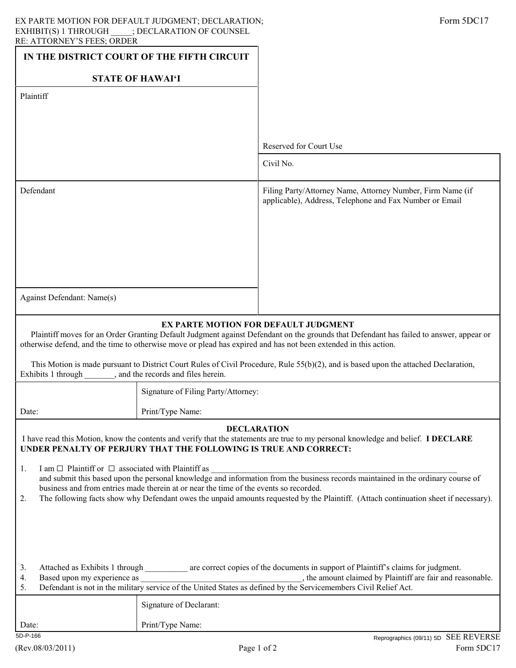| IN THE DISTRICT COURT OF THE FIFTH CIRCUIT                                                                                                                                                                                                                                                                                                                                                                                                    |                                     |                                                                                                                       |  |
|-----------------------------------------------------------------------------------------------------------------------------------------------------------------------------------------------------------------------------------------------------------------------------------------------------------------------------------------------------------------------------------------------------------------------------------------------|-------------------------------------|-----------------------------------------------------------------------------------------------------------------------|--|
| <b>STATE OF HAWAI'I</b>                                                                                                                                                                                                                                                                                                                                                                                                                       |                                     |                                                                                                                       |  |
| Plaintiff                                                                                                                                                                                                                                                                                                                                                                                                                                     |                                     |                                                                                                                       |  |
|                                                                                                                                                                                                                                                                                                                                                                                                                                               |                                     |                                                                                                                       |  |
|                                                                                                                                                                                                                                                                                                                                                                                                                                               |                                     | Reserved for Court Use                                                                                                |  |
|                                                                                                                                                                                                                                                                                                                                                                                                                                               |                                     | Civil No.                                                                                                             |  |
|                                                                                                                                                                                                                                                                                                                                                                                                                                               |                                     |                                                                                                                       |  |
| Defendant                                                                                                                                                                                                                                                                                                                                                                                                                                     |                                     | Filing Party/Attorney Name, Attorney Number, Firm Name (if<br>applicable), Address, Telephone and Fax Number or Email |  |
|                                                                                                                                                                                                                                                                                                                                                                                                                                               |                                     |                                                                                                                       |  |
|                                                                                                                                                                                                                                                                                                                                                                                                                                               |                                     |                                                                                                                       |  |
|                                                                                                                                                                                                                                                                                                                                                                                                                                               |                                     |                                                                                                                       |  |
|                                                                                                                                                                                                                                                                                                                                                                                                                                               |                                     |                                                                                                                       |  |
| Against Defendant: Name(s)                                                                                                                                                                                                                                                                                                                                                                                                                    |                                     |                                                                                                                       |  |
|                                                                                                                                                                                                                                                                                                                                                                                                                                               |                                     |                                                                                                                       |  |
| EX PARTE MOTION FOR DEFAULT JUDGMENT<br>Plaintiff moves for an Order Granting Default Judgment against Defendant on the grounds that Defendant has failed to answer, appear or<br>otherwise defend, and the time to otherwise move or plead has expired and has not been extended in this action.                                                                                                                                             |                                     |                                                                                                                       |  |
| This Motion is made pursuant to District Court Rules of Civil Procedure, Rule 55(b)(2), and is based upon the attached Declaration,<br>Exhibits 1 through<br>_____, and the records and files herein.                                                                                                                                                                                                                                         |                                     |                                                                                                                       |  |
|                                                                                                                                                                                                                                                                                                                                                                                                                                               | Signature of Filing Party/Attorney: |                                                                                                                       |  |
| Date:                                                                                                                                                                                                                                                                                                                                                                                                                                         | Print/Type Name:                    |                                                                                                                       |  |
| <b>DECLARATION</b><br>I have read this Motion, know the contents and verify that the statements are true to my personal knowledge and belief. I DECLARE<br>UNDER PENALTY OF PERJURY THAT THE FOLLOWING IS TRUE AND CORRECT:                                                                                                                                                                                                                   |                                     |                                                                                                                       |  |
| I am $\Box$ Plaintiff or $\Box$ associated with Plaintiff as<br>1.<br>and submit this based upon the personal knowledge and information from the business records maintained in the ordinary course of<br>business and from entries made therein at or near the time of the events so recorded.<br>The following facts show why Defendant owes the unpaid amounts requested by the Plaintiff. (Attach continuation sheet if necessary).<br>2. |                                     |                                                                                                                       |  |
| Attached as Exhibits 1 through _________ are correct copies of the documents in support of Plaintiff's claims for judgment.<br>3.<br>4.<br>Based upon my experience as<br>, the amount claimed by Plaintiff are fair and reasonable.<br>5.                                                                                                                                                                                                    |                                     |                                                                                                                       |  |
|                                                                                                                                                                                                                                                                                                                                                                                                                                               | Signature of Declarant:             |                                                                                                                       |  |
| Date:                                                                                                                                                                                                                                                                                                                                                                                                                                         | Print/Type Name:                    |                                                                                                                       |  |

5D-P-166